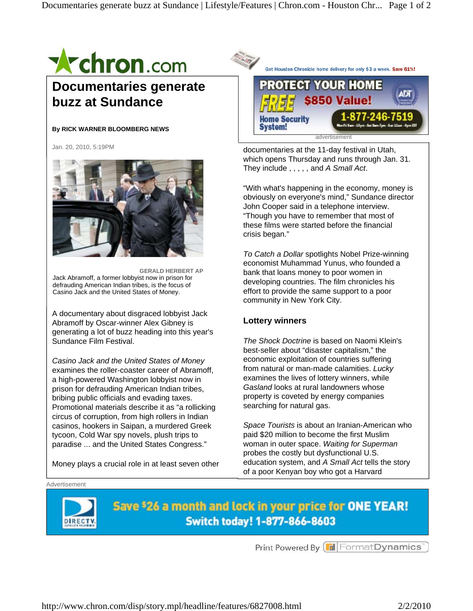

# **Documentaries generate buzz at Sundance**

### **By RICK WARNER BLOOMBERG NEWS**

Jan. 20, 2010, 5:19PM



**GERALD HERBERT AP**  Jack Abramoff, a former lobbyist now in prison for defrauding American Indian tribes, is the focus of Casino Jack and the United States of Money.

A documentary about disgraced lobbyist Jack Abramoff by Oscar-winner Alex Gibney is generating a lot of buzz heading into this year's Sundance Film Festival.

*Casino Jack and the United States of Money* examines the roller-coaster career of Abramoff, a high-powered Washington lobbyist now in prison for defrauding American Indian tribes, bribing public officials and evading taxes. Promotional materials describe it as "a rollicking circus of corruption, from high rollers in Indian casinos, hookers in Saipan, a murdered Greek tycoon, Cold War spy novels, plush trips to paradise ... and the United States Congress."

Money plays a crucial role in at least seven other



documentaries at the 11-day festival in Utah, which opens Thursday and runs through Jan. 31. They include , , , , , and *A Small Act*.

"With what's happening in the economy, money is obviously on everyone's mind," Sundance director John Cooper said in a telephone interview. "Though you have to remember that most of these films were started before the financial crisis began."

*To Catch a Dollar* spotlights Nobel Prize-winning economist Muhammad Yunus, who founded a bank that loans money to poor women in developing countries. The film chronicles his effort to provide the same support to a poor community in New York City.

# **Lottery winners**

*The Shock Doctrine* is based on Naomi Klein's best-seller about "disaster capitalism," the economic exploitation of countries suffering from natural or man-made calamities. *Lucky* examines the lives of lottery winners, while *Gasland* looks at rural landowners whose property is coveted by energy companies searching for natural gas.

*Space Tourists* is about an Iranian-American who paid \$20 million to become the first Muslim woman in outer space. *Waiting for Superman* probes the costly but dysfunctional U.S. education system, and *A Small Act* tells the story of a poor Kenyan boy who got a Harvard

#### Advertisement



Save \$26 a month and lock in your price for ONE YEAR! Switch today! 1-877-866-8603

Print Powered By FormatDynamics"